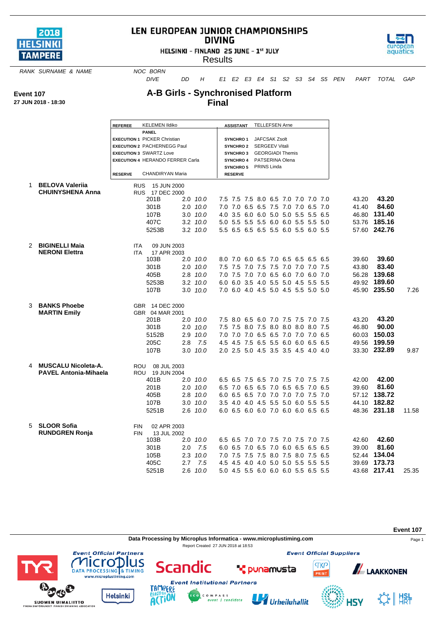

## LEN EUROPEAN JUNIOR CHAMPIONSHIPS **DIVING**

HELSINKI - FINLAND 25 JUNE - 1st JULY



**Results** 

**RANK SURNAME & NAME NOC BORN** 

*DIVE DD H E1 E2 E3 E4 S1 S2 S3 S4 S5 PEN PART TOTAL GAP*

**Event 107**

## **A-B Girls - Synchronised Platform Final**

|  |  | 27 JUN 2018 - 18:30 |
|--|--|---------------------|
|  |  |                     |

|   |                              | <b>REFEREE</b> | <b>KELEMEN Ildiko</b>                                                |     |              | <b>ASSISTANT</b>             |  | <b>TELLEFSEN Arne</b>                            |                                     |  |       |              |       |
|---|------------------------------|----------------|----------------------------------------------------------------------|-----|--------------|------------------------------|--|--------------------------------------------------|-------------------------------------|--|-------|--------------|-------|
|   |                              |                | <b>PANEL</b>                                                         |     |              |                              |  |                                                  |                                     |  |       |              |       |
|   |                              |                | <b>EXECUTION 1 PICKER Christian</b>                                  |     |              | SYNCHRO1                     |  | JAFCSAK Zsolt                                    |                                     |  |       |              |       |
|   |                              |                | <b>EXECUTION 2 PACHERNEGG Paul</b><br><b>EXECUTION 3 SWARTZ Love</b> |     |              | <b>SYNCHRO2</b>              |  | <b>SERGEEV Vitali</b><br><b>GEORGIADI Themis</b> |                                     |  |       |              |       |
|   |                              |                | <b>EXECUTION 4 HERANDO FERRER Carla</b>                              |     |              | <b>SYNCHRO3</b><br>SYNCHRO 4 |  | PATSERINA Olena                                  |                                     |  |       |              |       |
|   |                              |                |                                                                      |     |              |                              |  | SYNCHRO 5 PRINS Linda                            |                                     |  |       |              |       |
|   |                              | <b>RESERVE</b> | CHANDIRYAN Maria                                                     |     |              | <b>RESERVE</b>               |  |                                                  |                                     |  |       |              |       |
|   |                              |                |                                                                      |     |              |                              |  |                                                  |                                     |  |       |              |       |
| 1 | <b>BELOVA Valeriia</b>       |                | RUS 15 JUN 2000                                                      |     |              |                              |  |                                                  |                                     |  |       |              |       |
|   | <b>CHUINYSHENA Anna</b>      |                | RUS 17 DEC 2000                                                      |     |              |                              |  |                                                  |                                     |  |       |              |       |
|   |                              |                | 201B                                                                 |     | $2.0$ 10.0   |                              |  |                                                  | 7.5 7.5 7.5 8.0 6.5 7.0 7.0 7.0 7.0 |  | 43.20 | 43.20        |       |
|   |                              |                | 301B                                                                 |     | $2.0$ $10.0$ |                              |  |                                                  | 7.0 7.0 6.5 6.5 7.5 7.0 7.0 6.5 7.0 |  | 41.40 | 84.60        |       |
|   |                              |                | 107B                                                                 |     | $3.0$ $10.0$ |                              |  |                                                  | 4.0 3.5 6.0 6.0 5.0 5.0 5.5 5.5 6.5 |  |       | 46.80 131.40 |       |
|   |                              |                | 407C                                                                 |     | $3.2$ $10.0$ |                              |  |                                                  | 5.0 5.5 5.5 5.5 6.0 6.0 5.5 5.5 5.0 |  |       | 53.76 185.16 |       |
|   |                              |                | 5253B                                                                |     | $3.2$ $10.0$ |                              |  |                                                  | 5.5 6.5 6.5 6.5 5.5 6.0 5.5 6.0 5.5 |  |       | 57.60 242.76 |       |
|   |                              |                |                                                                      |     |              |                              |  |                                                  |                                     |  |       |              |       |
|   | 2 BIGINELLI Maia             | <b>ITA</b>     | 09 JUN 2003                                                          |     |              |                              |  |                                                  |                                     |  |       |              |       |
|   | <b>NERONI Elettra</b>        | <b>ITA</b>     | 17 APR 2003                                                          |     |              |                              |  |                                                  |                                     |  |       |              |       |
|   |                              |                | 103B                                                                 |     | $2.0$ $10.0$ |                              |  |                                                  | 8.0 7.0 6.0 6.5 7.0 6.5 6.5 6.5 6.5 |  | 39.60 | 39.60        |       |
|   |                              |                | 301B                                                                 |     | $2.0$ $10.0$ |                              |  |                                                  | 7.5 7.5 7.0 7.5 7.5 7.0 7.0 7.0 7.5 |  | 43.80 | 83.40        |       |
|   |                              |                | 405B                                                                 |     | 2.8 10.0     |                              |  |                                                  | 7.0 7.5 7.0 7.0 6.5 6.0 7.0 6.0 7.0 |  |       | 56.28 139.68 |       |
|   |                              |                | 5253B                                                                |     | $3.2$ $10.0$ |                              |  |                                                  | 6.0 6.0 3.5 4.0 5.5 5.0 4.5 5.5 5.5 |  |       | 49.92 189.60 |       |
|   |                              |                | 107B                                                                 |     | $3.0$ $10.0$ |                              |  |                                                  | 7.0 6.0 4.0 4.5 5.0 4.5 5.5 5.0 5.0 |  |       | 45.90 235.50 | 7.26  |
|   |                              |                |                                                                      |     |              |                              |  |                                                  |                                     |  |       |              |       |
| 3 | <b>BANKS Phoebe</b>          |                |                                                                      |     |              |                              |  |                                                  |                                     |  |       |              |       |
|   | <b>MARTIN Emily</b>          |                | GBR 14 DEC 2000<br>GBR 04 MAR 2001                                   |     |              |                              |  |                                                  |                                     |  |       |              |       |
|   |                              |                | 201B                                                                 |     | $2.0$ 10.0   |                              |  |                                                  | 7.5 8.0 6.5 6.0 7.0 7.5 7.5 7.0 7.5 |  | 43.20 | 43.20        |       |
|   |                              |                | 301B                                                                 |     | $2.0$ $10.0$ |                              |  |                                                  | 7.5 7.5 8.0 7.5 8.0 8.0 8.0 8.0 7.5 |  | 46.80 | 90.00        |       |
|   |                              |                | 5152B                                                                |     | 2.9 10.0     |                              |  |                                                  | 7.0 7.0 7.0 6.5 6.5 7.0 7.0 7.0 6.5 |  |       | 60.03 150.03 |       |
|   |                              |                | 205C                                                                 |     |              |                              |  |                                                  | 4.5 4.5 7.5 6.5 5.5 6.0 6.0 6.5 6.5 |  |       | 49.56 199.59 |       |
|   |                              |                |                                                                      | 2.8 | 7.5          |                              |  |                                                  |                                     |  |       |              |       |
|   |                              |                | 107B                                                                 |     | $3.0$ $10.0$ |                              |  |                                                  | 2.0 2.5 5.0 4.5 3.5 3.5 4.5 4.0 4.0 |  |       | 33.30 232.89 | 9.87  |
|   |                              |                |                                                                      |     |              |                              |  |                                                  |                                     |  |       |              |       |
|   | 4 MUSCALU Nicoleta-A.        |                | 08 JUL 2003<br>ROU                                                   |     |              |                              |  |                                                  |                                     |  |       |              |       |
|   | <b>PAVEL Antonia-Mihaela</b> |                | ROU 19 JUN 2004<br>401B                                              |     | $2.0$ $10.0$ |                              |  |                                                  | 6.5 6.5 7.5 6.5 7.0 7.5 7.0 7.5 7.5 |  | 42.00 | 42.00        |       |
|   |                              |                |                                                                      |     |              |                              |  |                                                  |                                     |  |       | 81.60        |       |
|   |                              |                | 201B                                                                 |     | $2.0$ $10.0$ |                              |  |                                                  | 6.5 7.0 6.5 6.5 7.0 6.5 6.5 7.0 6.5 |  | 39.60 |              |       |
|   |                              |                | 405B                                                                 |     | 2.8 10.0     |                              |  |                                                  | 6.0 6.5 6.5 7.0 7.0 7.0 7.0 7.5 7.0 |  |       | 57.12 138.72 |       |
|   |                              |                | 107B                                                                 |     | 3.0 10.0     |                              |  |                                                  | 3.5 4.0 4.0 4.5 5.5 5.0 6.0 5.5 5.5 |  |       | 44.10 182.82 |       |
|   |                              |                | 5251B                                                                |     | $2.6$ $10.0$ |                              |  |                                                  | 6.0 6.5 6.0 6.0 7.0 6.0 6.0 6.5 6.5 |  |       | 48.36 231.18 | 11.58 |
|   |                              |                |                                                                      |     |              |                              |  |                                                  |                                     |  |       |              |       |
| 5 | <b>SLOOR Sofia</b>           | <b>FIN</b>     | 02 APR 2003                                                          |     |              |                              |  |                                                  |                                     |  |       |              |       |
|   | <b>RUNDGREN Ronja</b>        | <b>FIN</b>     | 13 JUL 2002                                                          |     |              |                              |  |                                                  |                                     |  |       |              |       |
|   |                              |                | 103B                                                                 |     | $2.0$ $10.0$ |                              |  |                                                  | 6.5 6.5 7.0 7.0 7.5 7.0 7.5 7.0 7.5 |  | 42.60 | 42.60        |       |
|   |                              |                | 301B                                                                 | 2.0 | 7.5          |                              |  |                                                  | 6.0 6.5 7.0 6.5 7.0 6.0 6.5 6.5 6.5 |  | 39.00 | 81.60        |       |
|   |                              |                | 105B                                                                 |     | 2.3 10.0     |                              |  |                                                  | 7.0 7.5 7.5 7.5 8.0 7.5 8.0 7.5 6.5 |  |       | 52.44 134.04 |       |
|   |                              |                | 405C                                                                 |     | $2.7$ 7.5    |                              |  |                                                  | 4.5 4.5 4.0 4.0 5.0 5.0 5.5 5.5 5.5 |  |       | 39.69 173.73 |       |
|   |                              |                | 5251B                                                                |     | $2.6$ 10.0   |                              |  |                                                  | 5.0 4.5 5.5 6.0 6.0 6.0 5.5 6.5 5.5 |  |       | 43.68 217.41 | 25.35 |